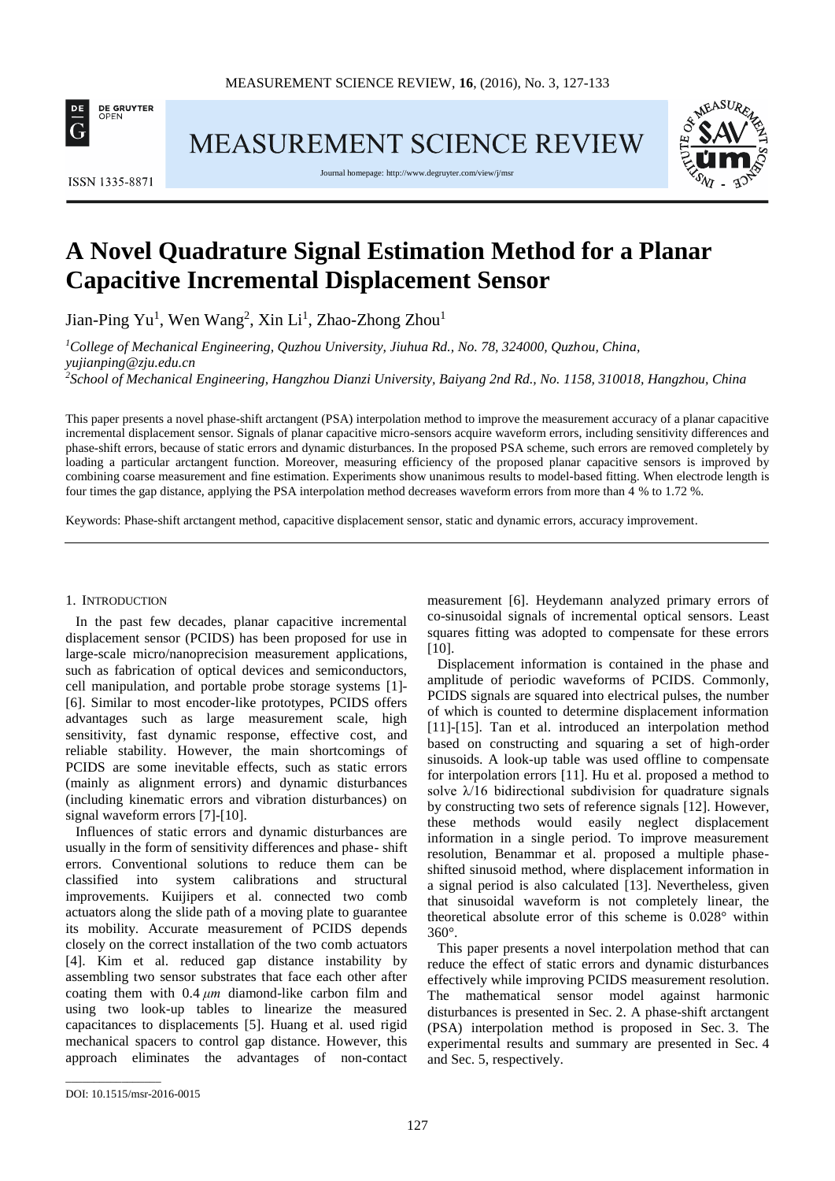

MEASUREMENT SCIENCE REVIEW

Journal homepage[: http://www.degruyter.com/view/j/msr](http://www.degruyter.com/view/j/msr)





**ISSN 1335-8871** 

# **A Novel Quadrature Signal Estimation Method for a Planar Capacitive Incremental Displacement Sensor**

Jian-Ping Yu<sup>1</sup>, Wen Wang<sup>2</sup>, Xin Li<sup>1</sup>, Zhao-Zhong Zhou<sup>1</sup>

*<sup>1</sup>College of Mechanical Engineering, Quzhou University, Jiuhua Rd., No. 78, 324000, Quzhou, China, yujianping@zju.edu.cn*

*<sup>2</sup>School of Mechanical Engineering, Hangzhou Dianzi University, Baiyang 2nd Rd., No. 1158, 310018, Hangzhou, China*

This paper presents a novel phase-shift arctangent (PSA) interpolation method to improve the measurement accuracy of a planar capacitive incremental displacement sensor. Signals of planar capacitive micro-sensors acquire waveform errors, including sensitivity differences and phase-shift errors, because of static errors and dynamic disturbances. In the proposed PSA scheme, such errors are removed completely by loading a particular arctangent function. Moreover, measuring efficiency of the proposed planar capacitive sensors is improved by combining coarse measurement and fine estimation. Experiments show unanimous results to model-based fitting. When electrode length is four times the gap distance, applying the PSA interpolation method decreases waveform errors from more than 4 % to 1.72 %.

Keywords: Phase-shift arctangent method, capacitive displacement sensor, static and dynamic errors, accuracy improvement.

### 1. INTRODUCTION

In the past few decades, planar capacitive incremental displacement sensor (PCIDS) has been proposed for use in large-scale micro/nanoprecision measurement applications, such as fabrication of optical devices and semiconductors, cell manipulation, and portable probe storage systems [1]- [6]. Similar to most encoder-like prototypes, PCIDS offers advantages such as large measurement scale, high sensitivity, fast dynamic response, effective cost, and reliable stability. However, the main shortcomings of PCIDS are some inevitable effects, such as static errors (mainly as alignment errors) and dynamic disturbances (including kinematic errors and vibration disturbances) on signal waveform errors [7]-[10].

Influences of static errors and dynamic disturbances are usually in the form of sensitivity differences and phase- shift errors. Conventional solutions to reduce them can be classified into system calibrations and structural improvements. Kuijipers et al. connected two comb actuators along the slide path of a moving plate to guarantee its mobility. Accurate measurement of PCIDS depends closely on the correct installation of the two comb actuators [4]. Kim et al. reduced gap distance instability by assembling two sensor substrates that face each other after coating them with 0.4 *μm* diamond-like carbon film and using two look-up tables to linearize the measured capacitances to displacements [5]. Huang et al. used rigid mechanical spacers to control gap distance. However, this approach eliminates the advantages of non-contact

measurement [6]. Heydemann analyzed primary errors of co-sinusoidal signals of incremental optical sensors. Least squares fitting was adopted to compensate for these errors [10].

Displacement information is contained in the phase and amplitude of periodic waveforms of PCIDS. Commonly, PCIDS signals are squared into electrical pulses, the number of which is counted to determine displacement information [11]-[15]. Tan et al. introduced an interpolation method based on constructing and squaring a set of high-order sinusoids. A look-up table was used offline to compensate for interpolation errors [11]. Hu et al. proposed a method to solve  $\lambda/16$  bidirectional subdivision for quadrature signals by constructing two sets of reference signals [12]. However, these methods would easily neglect displacement information in a single period. To improve measurement resolution, Benammar et al. proposed a multiple phaseshifted sinusoid method, where displacement information in a signal period is also calculated [13]. Nevertheless, given that sinusoidal waveform is not completely linear, the theoretical absolute error of this scheme is 0.028° within 360°.

This paper presents a novel interpolation method that can reduce the effect of static errors and dynamic disturbances effectively while improving PCIDS measurement resolution. The mathematical sensor model against harmonic disturbances is presented in Sec. 2. A phase-shift arctangent (PSA) interpolation method is proposed in Sec. 3. The experimental results and summary are presented in Sec. 4 and Sec. 5, respectively.

\_\_\_\_\_\_\_\_\_\_\_\_\_\_\_\_\_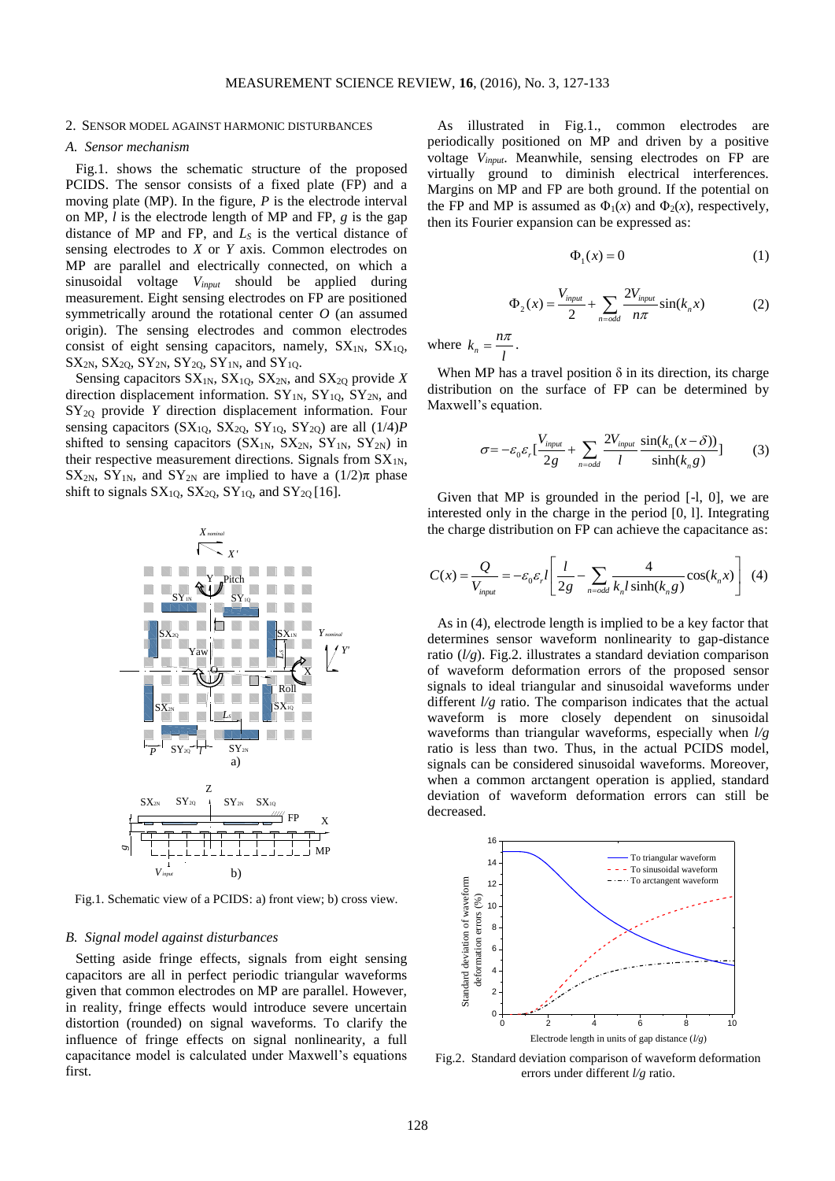#### 2. SENSOR MODEL AGAINST HARMONIC DISTURBANCES

#### *A. Sensor mechanism*

Fig.1. shows the schematic structure of the proposed PCIDS. The sensor consists of a fixed plate (FP) and a moving plate (MP). In the figure, *P* is the electrode interval on MP, *l* is the electrode length of MP and FP, *g* is the gap distance of MP and FP, and *L<sup>S</sup>* is the vertical distance of sensing electrodes to *X* or *Y* axis. Common electrodes on MP are parallel and electrically connected, on which a sinusoidal voltage *Vinput* should be applied during measurement. Eight sensing electrodes on FP are positioned symmetrically around the rotational center *O* (an assumed origin). The sensing electrodes and common electrodes consist of eight sensing capacitors, namely,  $SX_{1N}$ ,  $SX_{10}$ ,  $SX_{2N}$ ,  $SX_{2Q}$ ,  $SY_{2N}$ ,  $SY_{2Q}$ ,  $SY_{1N}$ , and  $SY_{1Q}$ .

Sensing capacitors  $SX_{1N}$ ,  $SX_{1Q}$ ,  $SX_{2N}$ , and  $SX_{2Q}$  provide *X* direction displacement information.  $SY_{1N}$ ,  $SY_{1Q}$ ,  $SY_{2N}$ , and SY<sub>20</sub> provide *Y* direction displacement information. Four sensing capacitors ( $SX_{1Q}$ ,  $SX_{2Q}$ ,  $SY_{1Q}$ ,  $SY_{2Q}$ ) are all  $(1/4)P$ shifted to sensing capacitors  $(SX_{1N}, SX_{2N}, SY_{1N}, SY_{2N})$  in their respective measurement directions. Signals from  $SX_{1N}$ , SX<sub>2N</sub>, SY<sub>1N</sub>, and SY<sub>2N</sub> are implied to have a  $(1/2)\pi$  phase shift to signals  $SX_{10}$ ,  $SX_{20}$ ,  $SY_{10}$ , and  $SY_{20}$  [16].



Fig.1. Schematic view of a PCIDS: a) front view; b) cross view.

# *B. Signal model against disturbances*

Setting aside fringe effects, signals from eight sensing capacitors are all in perfect periodic triangular waveforms given that common electrodes on MP are parallel. However, in reality, fringe effects would introduce severe uncertain distortion (rounded) on signal waveforms. To clarify the influence of fringe effects on signal nonlinearity, a full capacitance model is calculated under Maxwell's equations first.

As illustrated in Fig.1., common electrodes are periodically positioned on MP and driven by a positive voltage *Vinput*. Meanwhile, sensing electrodes on FP are virtually ground to diminish electrical interferences. Margins on MP and FP are both ground. If the potential on the FP and MP is assumed as  $\Phi_1(x)$  and  $\Phi_2(x)$ , respectively, then its Fourier expansion can be expressed as:

$$
\Phi_1(x) = 0 \tag{1}
$$

$$
\Phi_2(x) = \frac{V_{input}}{2} + \sum_{n=odd} \frac{2V_{input}}{n\pi} \sin(k_n x)
$$
 (2)

where  $k_n$  $k_n = \frac{n}{l}$  $=\frac{n\pi}{\cdot}$ .

When MP has a travel position  $\delta$  in its direction, its charge distribution on the surface of FP can be determined by Maxwell's equation.

$$
\sigma = -\varepsilon_0 \varepsilon_r \left[ \frac{V_{input}}{2g} + \sum_{n=odd} \frac{2V_{input}}{l} \frac{\sin(k_n(x-\delta))}{\sinh(k_n g)} \right]
$$
(3)

Given that MP is grounded in the period [-l, 0], we are interested only in the charge in the period [0, l]. Integrating the charge distribution on FP can achieve the capacitance as:

$$
C(x) = \frac{Q}{V_{input}} = -\varepsilon_0 \varepsilon_r l \left[ \frac{l}{2g} - \sum_{n=odd} \frac{4}{k_n l \sinh(k_n g)} \cos(k_n x) \right] \tag{4}
$$

As in (4), electrode length is implied to be a key factor that determines sensor waveform nonlinearity to gap-distance ratio (*l/g*). Fig.2. illustrates a standard deviation comparison of waveform deformation errors of the proposed sensor signals to ideal triangular and sinusoidal waveforms under different *l/g* ratio. The comparison indicates that the actual waveform is more closely dependent on sinusoidal waveforms than triangular waveforms, especially when *l/g* ratio is less than two. Thus, in the actual PCIDS model, signals can be considered sinusoidal waveforms. Moreover, when a common arctangent operation is applied, standard deviation of waveform deformation errors can still be decreased.



Fig.2. Standard deviation comparison of waveform deformation errors under different *l/g* ratio.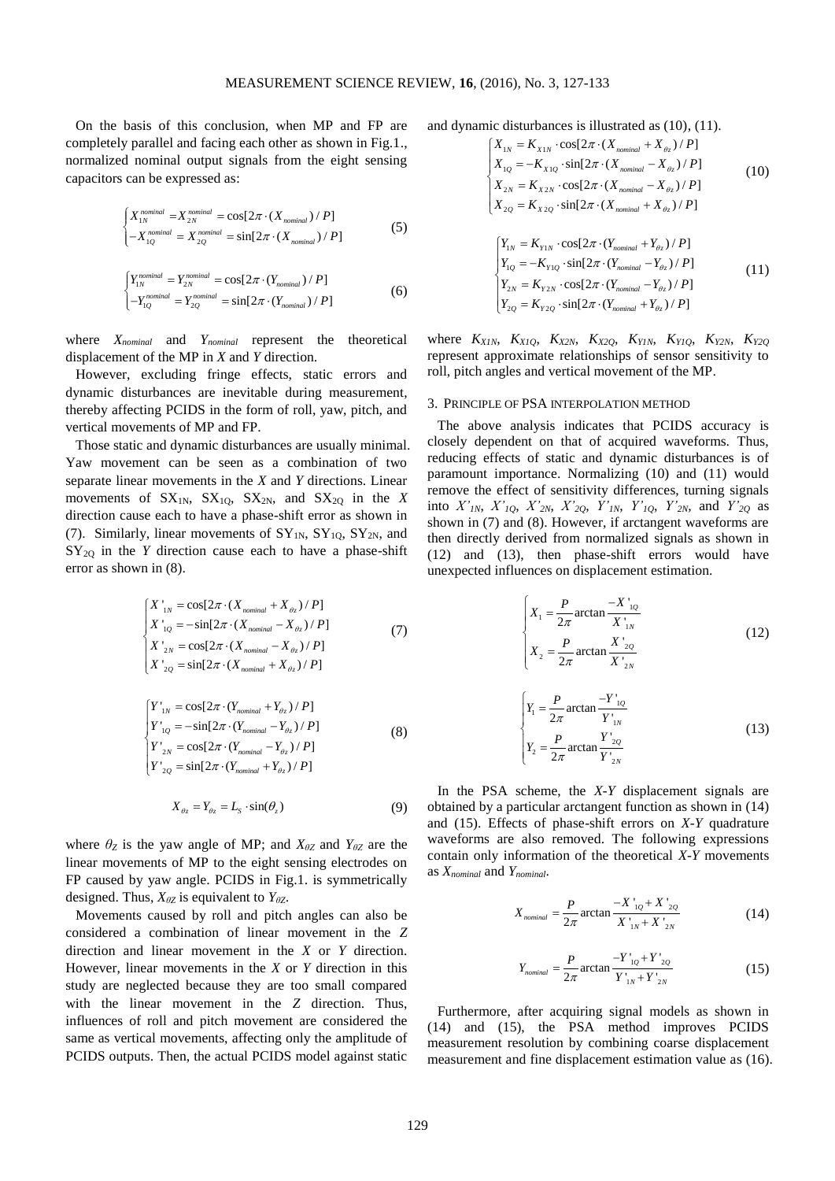On the basis of this conclusion, when MP and FP are completely parallel and facing each other as shown in Fig.1., normalized nominal output signals from the eight sensing capacitors can be expressed as:

$$
\begin{cases}\nX_{1N}^{nominal} = X_{2N}^{nominal} = \cos[2\pi \cdot (X_{nominal})/P] \\
-X_{1Q}^{nominal} = X_{2Q}^{nominal} = \sin[2\pi \cdot (X_{nominal})/P]\n\end{cases}
$$
\n(5)

$$
\begin{cases}\nY_{1N}^{nominal} = Y_{2N}^{nominal} = \cos[2\pi \cdot (Y_{nominal}) / P] \\
-Y_{1Q}^{nominal} = Y_{2Q}^{nominal} = \sin[2\pi \cdot (Y_{nominal}) / P]\n\end{cases} \tag{6}
$$

where *Xnominal* and *Ynominal* represent the theoretical displacement of the MP in *X* and *Y* direction.

However, excluding fringe effects, static errors and dynamic disturbances are inevitable during measurement, thereby affecting PCIDS in the form of roll, yaw, pitch, and vertical movements of MP and FP.

Those static and dynamic disturbances are usually minimal. Yaw movement can be seen as a combination of two separate linear movements in the *X* and *Y* directions. Linear movements of  $SX_{1N}$ ,  $SX_{1Q}$ ,  $SX_{2N}$ , and  $SX_{2Q}$  in the *X* direction cause each to have a phase-shift error as shown in (7). Similarly, linear movements of  $SY_{1N}$ ,  $SY_{1Q}$ ,  $SY_{2N}$ , and  $SY_{2Q}$  in the *Y* direction cause each to have a phase-shift error as shown in (8).

$$
\begin{cases}\nX'_{1N} = \cos[2\pi \cdot (X_{nominal} + X_{\theta_z})/P] \\
X'_{1Q} = -\sin[2\pi \cdot (X_{nominal} - X_{\theta_z})/P] \\
X'_{2N} = \cos[2\pi \cdot (X_{nominal} - X_{\theta_z})/P] \\
X'_{2Q} = \sin[2\pi \cdot (X_{nominal} + X_{\theta_z})/P]\n\end{cases} (7)
$$

$$
\begin{cases}\nY'_{1N} = \cos[2\pi \cdot (Y_{nominal} + Y_{\theta z}) / P] \\
Y'_{1Q} = -\sin[2\pi \cdot (Y_{nominal} - Y_{\theta z}) / P] \\
Y'_{2N} = \cos[2\pi \cdot (Y_{nominal} - Y_{\theta z}) / P] \\
Y'_{2Q} = \sin[2\pi \cdot (Y_{nominal} + Y_{\theta z}) / P]\n\end{cases}
$$
\n(8)

$$
X_{\theta z} = Y_{\theta z} = L_s \cdot \sin(\theta_z)
$$
 (9)

where  $\theta_Z$  is the yaw angle of MP; and  $X_{\theta Z}$  and  $Y_{\theta Z}$  are the linear movements of MP to the eight sensing electrodes on FP caused by yaw angle. PCIDS in Fig.1. is symmetrically designed. Thus, *XθZ* is equivalent to *YθZ*.

Movements caused by roll and pitch angles can also be considered a combination of linear movement in the *Z* direction and linear movement in the *X* or *Y* direction. However, linear movements in the *X* or *Y* direction in this study are neglected because they are too small compared with the linear movement in the *Z* direction. Thus, influences of roll and pitch movement are considered the same as vertical movements, affecting only the amplitude of PCIDS outputs. Then, the actual PCIDS model against static

and dynamic disturbances is illustrated as 
$$
(10)
$$
,  $(11)$ .

mic disturbances is illustrated as (10), (11).  
\n
$$
\begin{cases}\nX_{1N} = K_{X1N} \cdot \cos[2\pi \cdot (X_{nominal} + X_{\theta_z})/P] \\
X_{1Q} = -K_{X1Q} \cdot \sin[2\pi \cdot (X_{nominal} - X_{\theta_z})/P] \\
X_{2N} = K_{X2N} \cdot \cos[2\pi \cdot (X_{nominal} - X_{\theta_z})/P] \\
X_{2Q} = K_{X2Q} \cdot \sin[2\pi \cdot (X_{nominal} + X_{\theta_z})/P]\n\end{cases}
$$
\n(10)  
\n
$$
\begin{cases}\nY_{1N} = K_{Y1N} \cdot \cos[2\pi \cdot (Y_{nominal} + Y_{\theta_z})/P]\n\end{cases}
$$

$$
\begin{cases}\nI_{1N} = \mathbf{A}_{Y1N} \cdot \cos\left[\frac{2\pi}{L} \cdot (I_{nominal} + I_{\theta z})/P\right] \\
Y_{1Q} = -K_{Y1Q} \cdot \sin\left[\frac{2\pi}{L} \cdot (Y_{nominal} - Y_{\theta z})/P\right] \\
Y_{2N} = K_{Y2N} \cdot \cos\left[\frac{2\pi}{L} \cdot (Y_{nominal} - Y_{\theta z})/P\right] \\
Y_{2Q} = K_{Y2Q} \cdot \sin\left[\frac{2\pi}{L} \cdot (Y_{nominal} + Y_{\theta z})/P\right]\n\end{cases} (11)
$$

where *KX1N*, *KX1Q*, *KX2N*, *KX2Q*, *KY1N*, *KY1Q*, *KY2N*, *KY2Q* represent approximate relationships of sensor sensitivity to roll, pitch angles and vertical movement of the MP.

## 3. PRINCIPLE OF PSA INTERPOLATION METHOD

The above analysis indicates that PCIDS accuracy is closely dependent on that of acquired waveforms. Thus, reducing effects of static and dynamic disturbances is of paramount importance. Normalizing (10) and (11) would remove the effect of sensitivity differences, turning signals into  $X'_{1N}$ ,  $X'_{1Q}$ ,  $X'_{2N}$ ,  $X'_{2Q}$ ,  $Y'_{1N}$ ,  $Y'_{1Q}$ ,  $Y'_{2N}$ , and  $Y'_{2Q}$  as shown in (7) and (8). However, if arctangent waveforms are then directly derived from normalized signals as shown in (12) and (13), then phase-shift errors would have unexpected influences on displacement estimation.

$$
\begin{cases}\nX_1 = \frac{P}{2\pi} \arctan \frac{-X'_{1Q}}{X'_{1N}} \\
X_2 = \frac{P}{2\pi} \arctan \frac{X'_{2Q}}{X'_{2N}}\n\end{cases}
$$
\n(12)

$$
\begin{cases}\nY_1 = \frac{P}{2\pi} \arctan \frac{-Y'_{1Q}}{Y'_{1N}} \\
Y_2 = \frac{P}{2\pi} \arctan \frac{Y'_{2Q}}{Y'_{2N}}\n\end{cases}
$$
\n(13)

In the PSA scheme, the *X*-*Y* displacement signals are obtained by a particular arctangent function as shown in (14) and (15). Effects of phase-shift errors on *X*-*Y* quadrature waveforms are also removed. The following expressions contain only information of the theoretical *X*-*Y* movements as *Xnominal* and *Ynominal*.

$$
X_{nominal} = \frac{P}{2\pi} \arctan \frac{-X_{1Q} + X_{2Q}'}{X_{1N} + X_{2N}'} \tag{14}
$$

$$
Y_{nominal} = \frac{P}{2\pi} \arctan \frac{-Y_{1Q} + Y_{2Q}'}{Y_{1N} + Y_{2N}}
$$
 (15)

Furthermore, after acquiring signal models as shown in (14) and (15), the PSA method improves PCIDS measurement resolution by combining coarse displacement measurement and fine displacement estimation value as (16).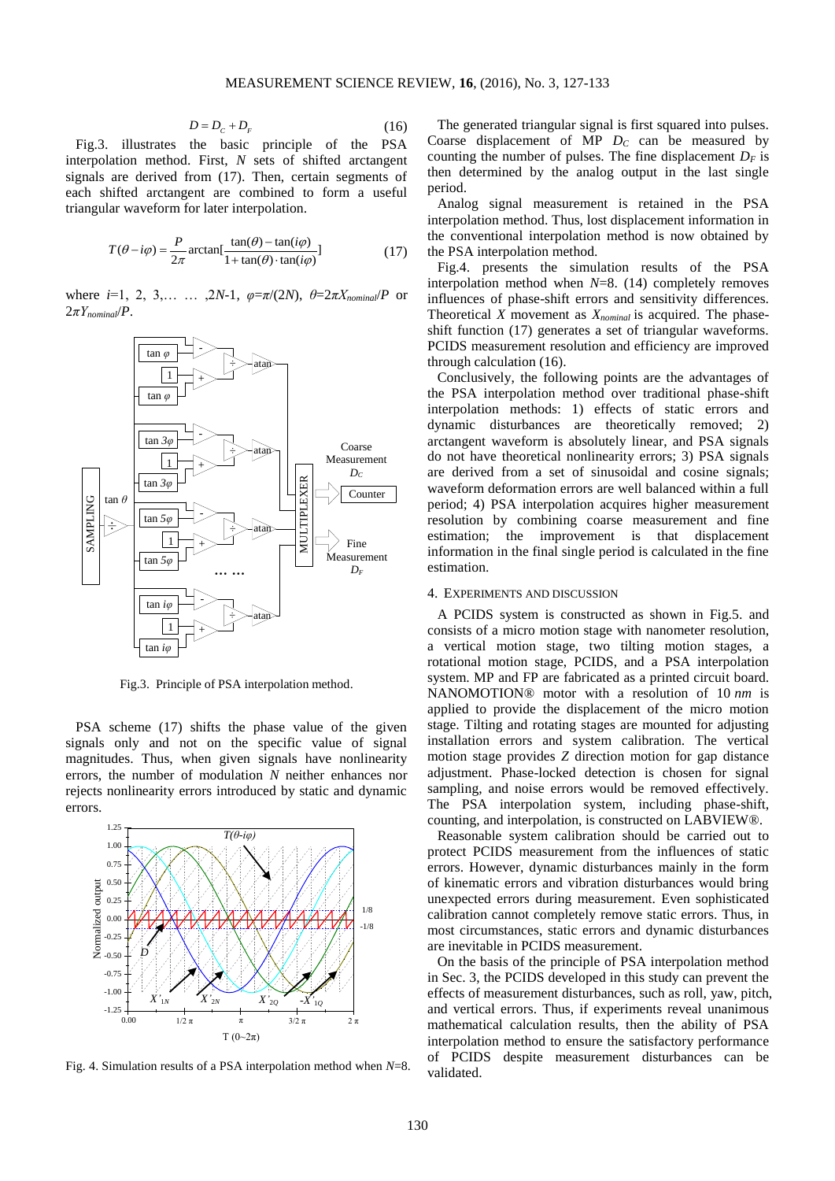$$
D = D_c + D_F \tag{16}
$$

Fig.3. illustrates the basic principle of the PSA interpolation method. First, *N* sets of shifted arctangent signals are derived from (17). Then, certain segments of each shifted arctangent are combined to form a useful triangular waveform for later interpolation.

$$
T(\theta - i\varphi) = \frac{P}{2\pi} \arctan[\frac{\tan(\theta) - \tan(i\varphi)}{1 + \tan(\theta) \cdot \tan(i\varphi)}]
$$
(17)

where *i*=1, 2, 3,… … ,2*N*-1, *φ*=*π*/(2*N*), *θ*=2*πXnominal*/*P* or  $2\pi Y$ <sub>*nominal*</sub> $\langle P$ .



Fig.3. Principle of PSA interpolation method.

PSA scheme (17) shifts the phase value of the given signals only and not on the specific value of signal magnitudes. Thus, when given signals have nonlinearity errors, the number of modulation *N* neither enhances nor rejects nonlinearity errors introduced by static and dynamic errors.



Fig. 4. Simulation results of a PSA interpolation method when *N*=8.

The generated triangular signal is first squared into pulses. Coarse displacement of MP *D<sup>C</sup>* can be measured by counting the number of pulses. The fine displacement *D<sup>F</sup>* is then determined by the analog output in the last single period.

Analog signal measurement is retained in the PSA interpolation method. Thus, lost displacement information in the conventional interpolation method is now obtained by the PSA interpolation method.

Fig.4. presents the simulation results of the PSA interpolation method when *N*=8. (14) completely removes influences of phase-shift errors and sensitivity differences. Theoretical *X* movement as *Xnominal* is acquired. The phaseshift function (17) generates a set of triangular waveforms. PCIDS measurement resolution and efficiency are improved through calculation (16).

Conclusively, the following points are the advantages of the PSA interpolation method over traditional phase-shift interpolation methods: 1) effects of static errors and dynamic disturbances are theoretically removed; 2) arctangent waveform is absolutely linear, and PSA signals do not have theoretical nonlinearity errors; 3) PSA signals are derived from a set of sinusoidal and cosine signals; waveform deformation errors are well balanced within a full period; 4) PSA interpolation acquires higher measurement resolution by combining coarse measurement and fine estimation; the improvement is that displacement information in the final single period is calculated in the fine estimation.

## 4. EXPERIMENTS AND DISCUSSION

A PCIDS system is constructed as shown in Fig.5. and consists of a micro motion stage with nanometer resolution, a vertical motion stage, two tilting motion stages, a rotational motion stage, PCIDS, and a PSA interpolation system. MP and FP are fabricated as a printed circuit board. NANOMOTION® motor with a resolution of 10 *nm* is applied to provide the displacement of the micro motion stage. Tilting and rotating stages are mounted for adjusting installation errors and system calibration. The vertical motion stage provides *Z* direction motion for gap distance adjustment. Phase-locked detection is chosen for signal sampling, and noise errors would be removed effectively. The PSA interpolation system, including phase-shift, counting, and interpolation, is constructed on LABVIEW®.

Reasonable system calibration should be carried out to protect PCIDS measurement from the influences of static errors. However, dynamic disturbances mainly in the form of kinematic errors and vibration disturbances would bring unexpected errors during measurement. Even sophisticated calibration cannot completely remove static errors. Thus, in most circumstances, static errors and dynamic disturbances are inevitable in PCIDS measurement.

On the basis of the principle of PSA interpolation method in Sec. 3, the PCIDS developed in this study can prevent the effects of measurement disturbances, such as roll, yaw, pitch, and vertical errors. Thus, if experiments reveal unanimous mathematical calculation results, then the ability of PSA interpolation method to ensure the satisfactory performance of PCIDS despite measurement disturbances can be validated.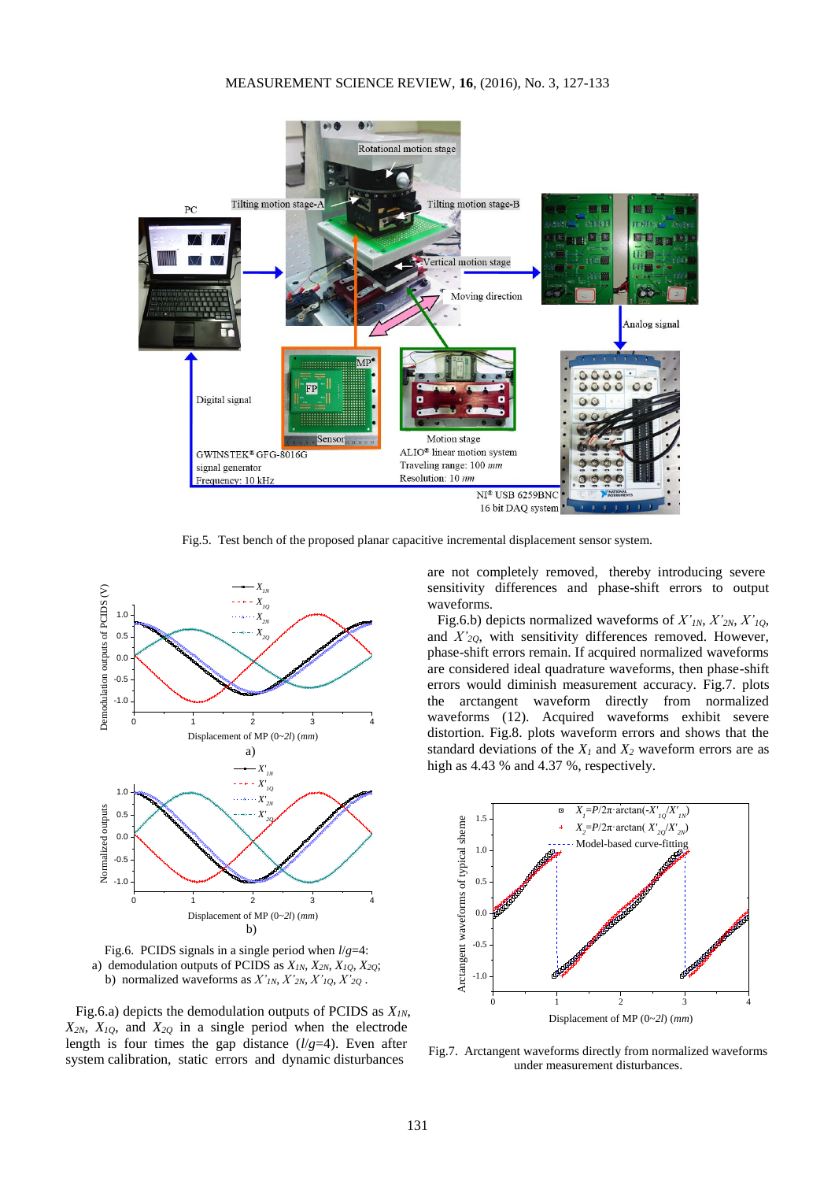

Fig.5. Test bench of the proposed planar capacitive incremental displacement sensor system.



Fig.6. PCIDS signals in a single period when *l*/*g*=4: a) demodulation outputs of PCIDS as *X1N*, *X2N*, *X1Q*, *X2Q*; b) normalized waveforms as  $X'_{IN}$ ,  $X'_{2N}$ ,  $X'_{1Q}$ ,  $X'_{2Q}$ .

Fig.6.a) depicts the demodulation outputs of PCIDS as *X1N*,  $X_{2N}$ ,  $X_{1Q}$ , and  $X_{2Q}$  in a single period when the electrode length is four times the gap distance (*l*/*g*=4). Even after system calibration, static errors and dynamic disturbances

are not completely removed, thereby introducing severe sensitivity differences and phase-shift errors to output waveforms.

Fig.6.b) depicts normalized waveforms of *X'1N*, *X'2N*, *X'1Q*, and *X'2Q*, with sensitivity differences removed. However, phase-shift errors remain. If acquired normalized waveforms are considered ideal quadrature waveforms, then phase-shift errors would diminish measurement accuracy. Fig.7. plots the arctangent waveform directly from normalized waveforms (12). Acquired waveforms exhibit severe distortion. Fig.8. plots waveform errors and shows that the standard deviations of the  $X_I$  and  $X_2$  waveform errors are as high as 4.43 % and 4.37 %, respectively.



Fig.7. Arctangent waveforms directly from normalized waveforms under measurement disturbances.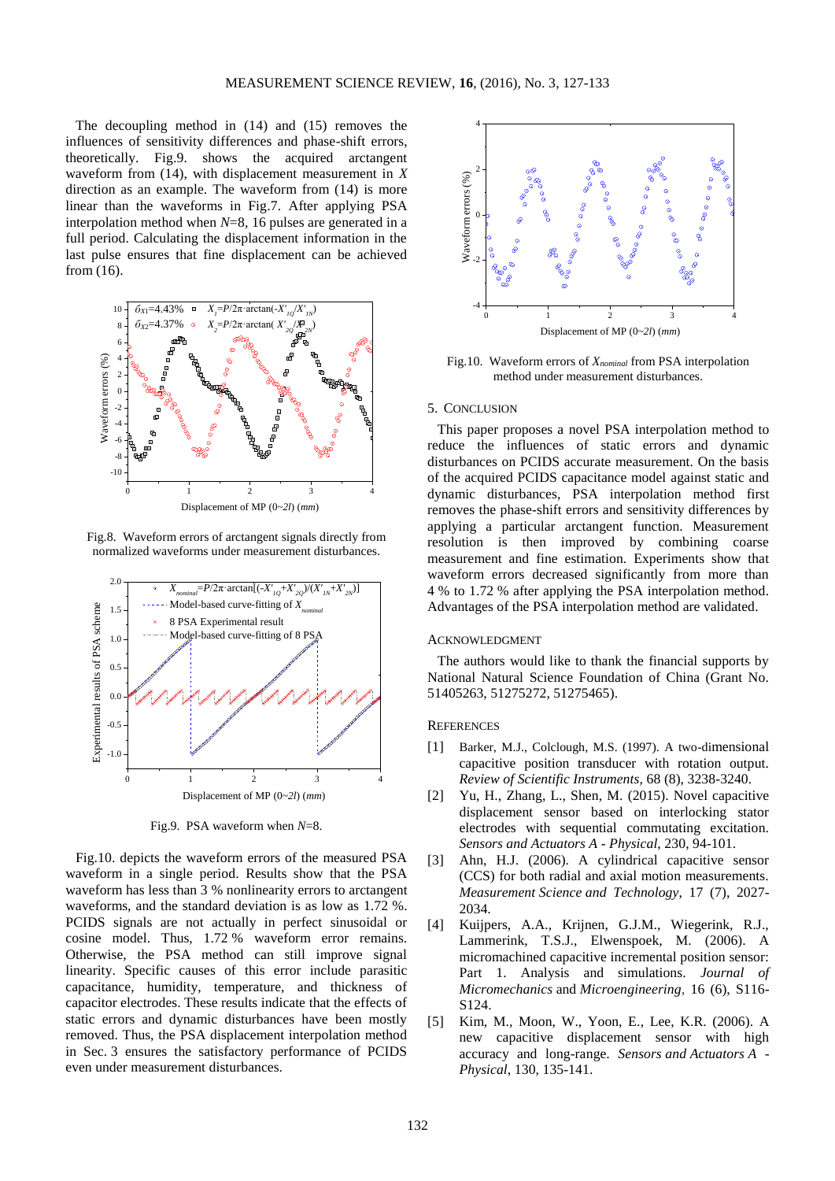The decoupling method in (14) and (15) removes the influences of sensitivity differences and phase-shift errors, theoretically. Fig.9. shows the acquired arctangent waveform from (14), with displacement measurement in *X*  direction as an example. The waveform from (14) is more linear than the waveforms in Fig.7. After applying PSA interpolation method when *N*=8, 16 pulses are generated in a full period. Calculating the displacement information in the last pulse ensures that fine displacement can be achieved from (16).



Fig.8. Waveform errors of arctangent signals directly from normalized waveforms under measurement disturbances.



Fig.9. PSA waveform when *N*=8.

Fig.10. depicts the waveform errors of the measured PSA waveform in a single period. Results show that the PSA waveform has less than 3 % nonlinearity errors to arctangent waveforms, and the standard deviation is as low as 1.72 %. PCIDS signals are not actually in perfect sinusoidal or cosine model. Thus, 1.72 % waveform error remains. Otherwise, the PSA method can still improve signal linearity. Specific causes of this error include parasitic capacitance, humidity, temperature, and thickness of capacitor electrodes. These results indicate that the effects of static errors and dynamic disturbances have been mostly removed. Thus, the PSA displacement interpolation method in Sec. 3 ensures the satisfactory performance of PCIDS even under measurement disturbances.



Fig.10. Waveform errors of *Xnominal* from PSA interpolation method under measurement disturbances.

## 5. CONCLUSION

This paper proposes a novel PSA interpolation method to reduce the influences of static errors and dynamic disturbances on PCIDS accurate measurement. On the basis of the acquired PCIDS capacitance model against static and dynamic disturbances, PSA interpolation method first removes the phase-shift errors and sensitivity differences by applying a particular arctangent function. Measurement resolution is then improved by combining coarse measurement and fine estimation. Experiments show that waveform errors decreased significantly from more than 4 % to 1.72 % after applying the PSA interpolation method. Advantages of the PSA interpolation method are validated.

# ACKNOWLEDGMENT

The authors would like to thank the financial supports by National Natural Science Foundation of China (Grant No. 51405263, 51275272, 51275465).

#### **REFERENCES**

- [1] Barker, M.J., Colclough, M.S. (1997). A two-dimensional capacitive position transducer with rotation output. *Review of [Scientific Instruments](http://www.baidu.com/link?url=eINGwnoE2YRuJH_NYI2eiOgQhn77IXu8edi-W6eEOjsGN5UI53YDM5h9nNN1V5lxbEvjizDK5MxelJdgBsgW6a)*, 68 (8), 3238-3240.
- [2] Yu, H., Zhang, L., Shen, M. (2015). Novel capacitive displacement sensor based on interlocking stator electrodes with sequential commutating excitation. *Sensors and Actuators A* - *Physical*, 230, 94-101.
- [3] Ahn, H.J. (2006). A cylindrical capacitive sensor (CCS) for both radial and axial motion measurements. *Measurement Science [and Technology](http://www.baidu.com/link?url=zLeN4Fbv_r6UZVeyljU8JbxiPKIn_GGWG2lzrIM9WKkTlErIPuCCtscZ2EQIxTDX)*, 17 (7), 2027- 2034.
- [4] Kuijpers, A.A., Krijnen, G.J.M., Wiegerink, R.J., Lammerink, T.S.J., Elwenspoek, M. (2006). A micromachined capacitive incremental position sensor: Part 1. Analysis and simulations. *Journal of Micromechanics* and *[Microengineering](http://www.baidu.com/link?url=WeYubo3yBW2GTlwqnsiXyWzuUS_84MAu42koQPUsDJ_3V-bAPeHXdzvkYLvlEKo9CeYLvAXsRpisbEfcDOdJLK)*, 16 (6), S116- S124.
- [5] Kim, M., Moon, W., Yoon, E., Lee, K.R. (2006). A new capacitive displacement sensor with high accuracy and long-range. *Sensors and Actuators A* - *Physical*, 130, 135-141.